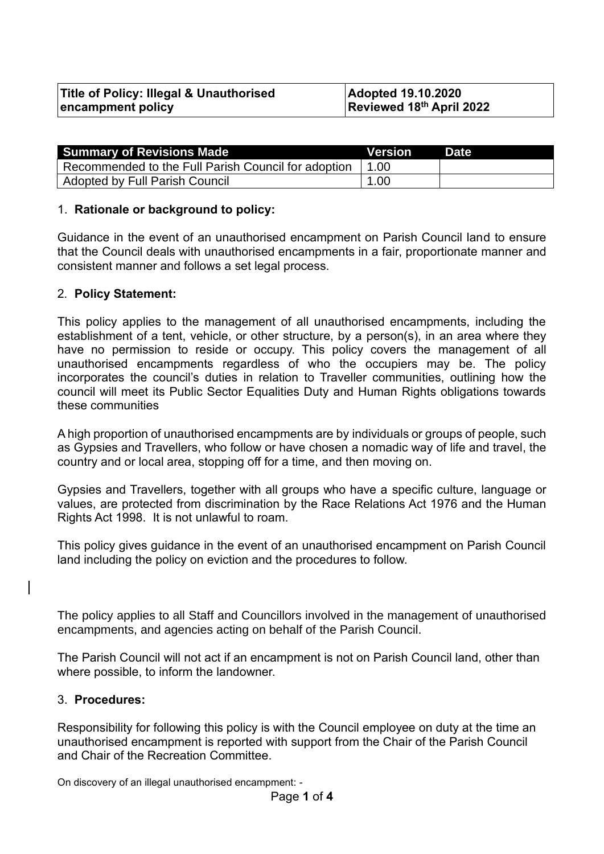| <b>Title of Policy: Illegal &amp; Unauthorised</b> | <b>Adopted 19.10.2020</b> |
|----------------------------------------------------|---------------------------|
| encampment policy                                  | Reviewed 18th April 2022  |

| <b>Summary of Revisions Made</b>                         | <b>Version</b> | <b>Date</b> |
|----------------------------------------------------------|----------------|-------------|
| Recommended to the Full Parish Council for adoption 1.00 |                |             |
| Adopted by Full Parish Council                           | $-1.00$        |             |

### 1. **Rationale or background to policy:**

Guidance in the event of an unauthorised encampment on Parish Council land to ensure that the Council deals with unauthorised encampments in a fair, proportionate manner and consistent manner and follows a set legal process.

### 2*.* **Policy Statement:**

This policy applies to the management of all unauthorised encampments, including the establishment of a tent, vehicle, or other structure, by a person(s), in an area where they have no permission to reside or occupy. This policy covers the management of all unauthorised encampments regardless of who the occupiers may be. The policy incorporates the council's duties in relation to Traveller communities, outlining how the council will meet its Public Sector Equalities Duty and Human Rights obligations towards these communities

A high proportion of unauthorised encampments are by individuals or groups of people, such as Gypsies and Travellers, who follow or have chosen a nomadic way of life and travel, the country and or local area, stopping off for a time, and then moving on.

Gypsies and Travellers, together with all groups who have a specific culture, language or values, are protected from discrimination by the Race Relations Act 1976 and the Human Rights Act 1998. It is not unlawful to roam.

This policy gives guidance in the event of an unauthorised encampment on Parish Council land including the policy on eviction and the procedures to follow.

The policy applies to all Staff and Councillors involved in the management of unauthorised encampments, and agencies acting on behalf of the Parish Council.

The Parish Council will not act if an encampment is not on Parish Council land, other than where possible, to inform the landowner.

#### 3. **Procedures:**

Responsibility for following this policy is with the Council employee on duty at the time an unauthorised encampment is reported with support from the Chair of the Parish Council and Chair of the Recreation Committee.

On discovery of an illegal unauthorised encampment: -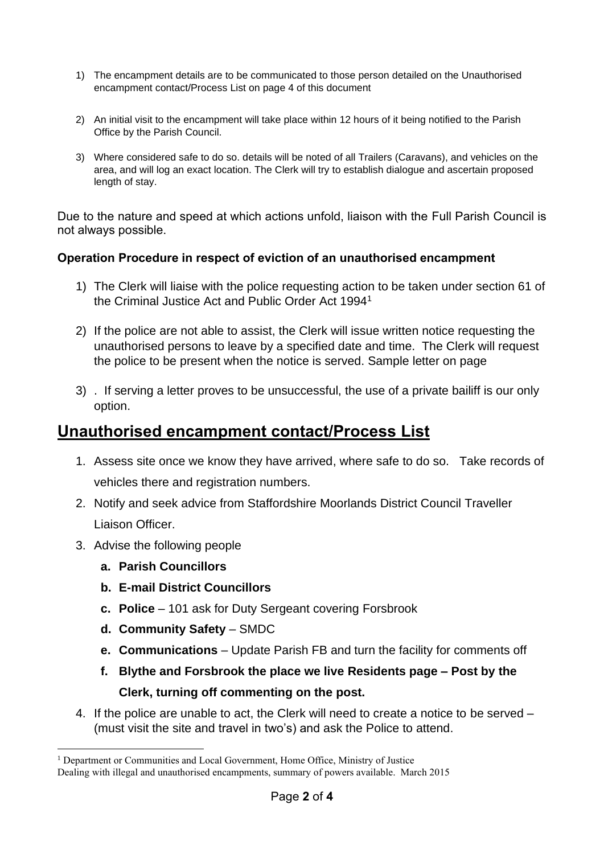- 1) The encampment details are to be communicated to those person detailed on the Unauthorised encampment contact/Process List on page 4 of this document
- 2) An initial visit to the encampment will take place within 12 hours of it being notified to the Parish Office by the Parish Council.
- 3) Where considered safe to do so. details will be noted of all Trailers (Caravans), and vehicles on the area, and will log an exact location. The Clerk will try to establish dialogue and ascertain proposed length of stay.

Due to the nature and speed at which actions unfold, liaison with the Full Parish Council is not always possible.

## **Operation Procedure in respect of eviction of an unauthorised encampment**

- 1) The Clerk will liaise with the police requesting action to be taken under section 61 of the Criminal Justice Act and Public Order Act 1994<sup>1</sup>
- 2) If the police are not able to assist, the Clerk will issue written notice requesting the unauthorised persons to leave by a specified date and time. The Clerk will request the police to be present when the notice is served. Sample letter on page
- 3) . If serving a letter proves to be unsuccessful, the use of a private bailiff is our only option.

# **Unauthorised encampment contact/Process List**

- 1. Assess site once we know they have arrived, where safe to do so. Take records of vehicles there and registration numbers.
- 2. Notify and seek advice from Staffordshire Moorlands District Council Traveller Liaison Officer.
- 3. Advise the following people
	- **a. Parish Councillors**
	- **b. E-mail District Councillors**
	- **c. Police** 101 ask for Duty Sergeant covering Forsbrook
	- **d. Community Safety** SMDC
	- **e. Communications** Update Parish FB and turn the facility for comments off
	- **f. Blythe and Forsbrook the place we live Residents page – Post by the Clerk, turning off commenting on the post.**
- 4. If the police are unable to act, the Clerk will need to create a notice to be served (must visit the site and travel in two's) and ask the Police to attend.

<sup>&</sup>lt;sup>1</sup> Department or Communities and Local Government, Home Office, Ministry of Justice Dealing with illegal and unauthorised encampments, summary of powers available. March 2015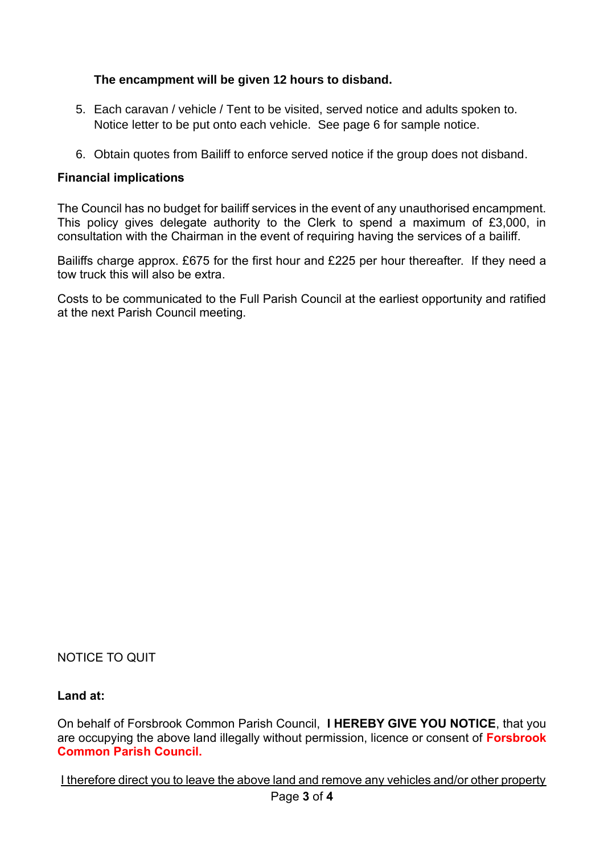# **The encampment will be given 12 hours to disband.**

- 5. Each caravan / vehicle / Tent to be visited, served notice and adults spoken to. Notice letter to be put onto each vehicle. See page 6 for sample notice.
- 6. Obtain quotes from Bailiff to enforce served notice if the group does not disband.

## **Financial implications**

The Council has no budget for bailiff services in the event of any unauthorised encampment. This policy gives delegate authority to the Clerk to spend a maximum of £3,000, in consultation with the Chairman in the event of requiring having the services of a bailiff.

Bailiffs charge approx. £675 for the first hour and £225 per hour thereafter. If they need a tow truck this will also be extra.

Costs to be communicated to the Full Parish Council at the earliest opportunity and ratified at the next Parish Council meeting.

## NOTICE TO QUIT

## **Land at:**

On behalf of Forsbrook Common Parish Council, **I HEREBY GIVE YOU NOTICE**, that you are occupying the above land illegally without permission, licence or consent of **Forsbrook Common Parish Council.**

I therefore direct you to leave the above land and remove any vehicles and/or other property